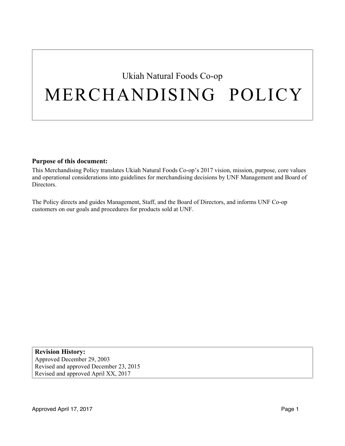# Ukiah Natural Foods Co-op MERCHANDISING POLICY

#### **Purpose of this document:**

This Merchandising Policy translates Ukiah Natural Foods Co-op's 2017 vision, mission, purpose, core values and operational considerations into guidelines for merchandising decisions by UNF Management and Board of Directors.

The Policy directs and guides Management, Staff, and the Board of Directors, and informs UNF Co-op customers on our goals and procedures for products sold at UNF.

**Revision History:** Approved December 29, 2003 Revised and approved December 23, 2015 Revised and approved April XX, 2017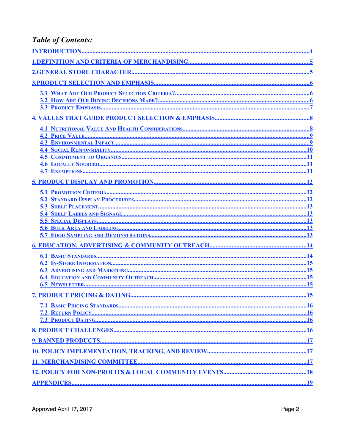### **Table of Contents:**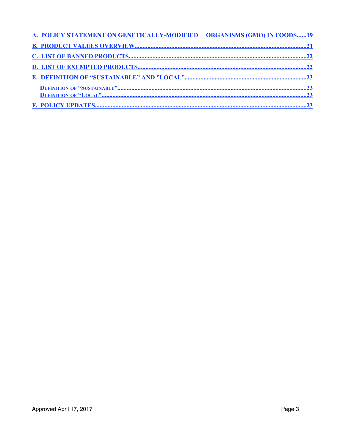| A. POLICY STATEMENT ON GENETICALLY-MODIFIED ORGANISMS (GMO) IN FOODS19 |  |
|------------------------------------------------------------------------|--|
|                                                                        |  |
|                                                                        |  |
|                                                                        |  |
|                                                                        |  |
|                                                                        |  |
|                                                                        |  |
|                                                                        |  |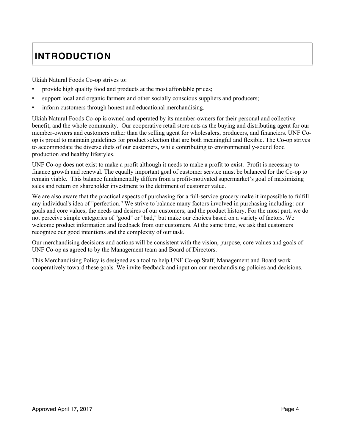## **INTRODUCTION**

Ukiah Natural Foods Co-op strives to:

- provide high quality food and products at the most affordable prices;
- support local and organic farmers and other socially conscious suppliers and producers;
- inform customers through honest and educational merchandising.

Ukiah Natural Foods Co-op is owned and operated by its member-owners for their personal and collective benefit, and the whole community. Our cooperative retail store acts as the buying and distributing agent for our member-owners and customers rather than the selling agent for wholesalers, producers, and financiers. UNF Coop is proud to maintain guidelines for product selection that are both meaningful and flexible. The Co-op strives to accommodate the diverse diets of our customers, while contributing to environmentally-sound food production and healthy lifestyles.

UNF Co-op does not exist to make a profit although it needs to make a profit to exist. Profit is necessary to finance growth and renewal. The equally important goal of customer service must be balanced for the Co-op to remain viable. This balance fundamentally differs from a profit-motivated supermarket's goal of maximizing sales and return on shareholder investment to the detriment of customer value.

We are also aware that the practical aspects of purchasing for a full-service grocery make it impossible to fulfill any individual's idea of "perfection." We strive to balance many factors involved in purchasing including: our goals and core values; the needs and desires of our customers; and the product history. For the most part, we do not perceive simple categories of "good" or "bad," but make our choices based on a variety of factors. We welcome product information and feedback from our customers. At the same time, we ask that customers recognize our good intentions and the complexity of our task.

Our merchandising decisions and actions will be consistent with the vision, purpose, core values and goals of UNF Co-op as agreed to by the Management team and Board of Directors.

This Merchandising Policy is designed as a tool to help UNF Co-op Staff, Management and Board work cooperatively toward these goals. We invite feedback and input on our merchandising policies and decisions.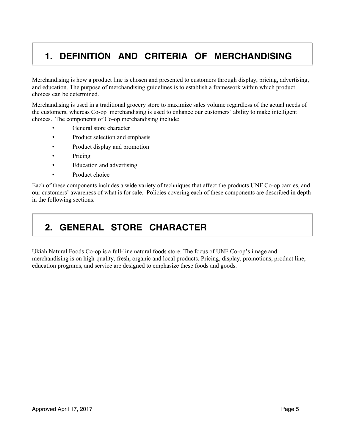### **1. DEFINITION AND CRITERIA OF MERCHANDISING**

Merchandising is how a product line is chosen and presented to customers through display, pricing, advertising, and education. The purpose of merchandising guidelines is to establish a framework within which product choices can be determined.

Merchandising is used in a traditional grocery store to maximize sales volume regardless of the actual needs of the customers, whereas Co-op merchandising is used to enhance our customers' ability to make intelligent choices. The components of Co-op merchandising include:

- General store character
- Product selection and emphasis
- Product display and promotion
- Pricing
- Education and advertising
- Product choice

Each of these components includes a wide variety of techniques that affect the products UNF Co-op carries, and our customers' awareness of what is for sale. Policies covering each of these components are described in depth in the following sections.

### **2. GENERAL STORE CHARACTER**

Ukiah Natural Foods Co-op is a full-line natural foods store. The focus of UNF Co-op's image and merchandising is on high-quality, fresh, organic and local products. Pricing, display, promotions, product line, education programs, and service are designed to emphasize these foods and goods.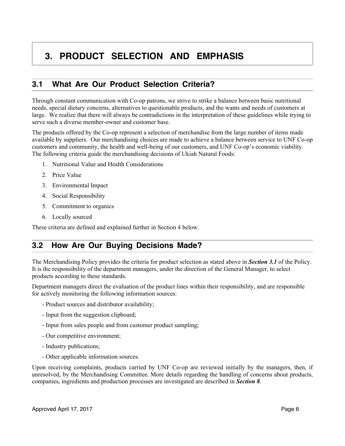### **3. PRODUCT SELECTION AND EMPHASIS**

### **3.1 What Are Our Product Selection Criteria?**

Through constant communication with Co-op patrons, we strive to strike a balance between basic nutritional needs, special dietary concerns, alternatives to questionable products, and the wants and needs of customers at large. We realize that there will always be contradictions in the interpretation of these guidelines while trying to serve such a diverse member-owner and customer base.

The products offered by the Co-op represent a selection of merchandise from the large number of items made available by suppliers. Our merchandising choices are made to achieve a balance between service to UNF Co-op customers and community, the health and well-being of our customers, and UNF Co-op's economic viability. The following criteria guide the merchandising decisions of Ukiah Natural Foods:

- 1. Nutritional Value and Health Considerations
- 2. Price Value
- 3. Environmental Impact
- 4. Social Responsibility
- 5. Commitment to organics
- 6. Locally sourced

These criteria are defined and explained further in Section 4 below.

### **3.2 How Are Our Buying Decisions Made?**

The Merchandising Policy provides the criteria for product selection as stated above in *Section 3.1* of the Policy. It is the responsibility of the department managers, under the direction of the General Manager, to select products according to these standards.

Department managers direct the evaluation of the product lines within their responsibility, and are responsible for actively monitoring the following information sources:

- Product sources and distributor availability;
- Input from the suggestion clipboard;
- Input from sales people and from customer product sampling;
- Our competitive environment;
- Industry publications;
- Other applicable information sources.

Upon receiving complaints, products carried by UNF Co-op are reviewed initially by the managers, then, if unresolved, by the Merchandising Committee. More details regarding the handling of concerns about products, companies, ingredients and production processes are investigated are described in *Section 8*.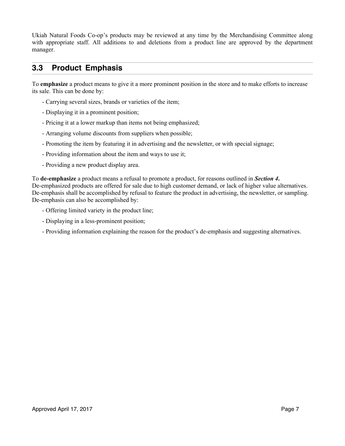Ukiah Natural Foods Co-op's products may be reviewed at any time by the Merchandising Committee along with appropriate staff. All additions to and deletions from a product line are approved by the department manager.

#### **3.3 Product Emphasis**

To **emphasize** a product means to give it a more prominent position in the store and to make efforts to increase its sale. This can be done by:

- Carrying several sizes, brands or varieties of the item;
- Displaying it in a prominent position;
- Pricing it at a lower markup than items not being emphasized;
- Arranging volume discounts from suppliers when possible;
- Promoting the item by featuring it in advertising and the newsletter, or with special signage;
- Providing information about the item and ways to use it;
- Providing a new product display area.

To **de-emphasize** a product means a refusal to promote a product, for reasons outlined in *Section 4***.** De-emphasized products are offered for sale due to high customer demand, or lack of higher value alternatives. De-emphasis shall be accomplished by refusal to feature the product in advertising, the newsletter, or sampling. De-emphasis can also be accomplished by:

- Offering limited variety in the product line;
- Displaying in a less-prominent position;
- Providing information explaining the reason for the product's de-emphasis and suggesting alternatives.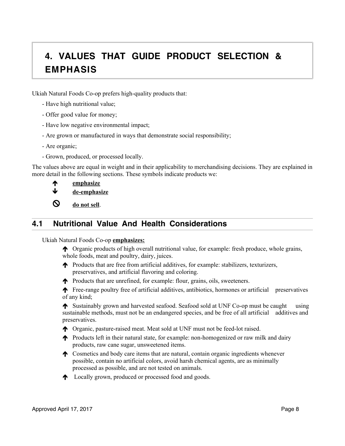## **4. VALUES THAT GUIDE PRODUCT SELECTION & EMPHASIS**

Ukiah Natural Foods Co-op prefers high-quality products that:

- Have high nutritional value;
- Offer good value for money;
- Have low negative environmental impact;
- Are grown or manufactured in ways that demonstrate social responsibility;
- Are organic;
- Grown, produced, or processed locally.

The values above are equal in weight and in their applicability to merchandising decisions. They are explained in more detail in the following sections. These symbols indicate products we:

| ₼  | emphasize        |
|----|------------------|
| N. | وممط مصمم المالة |

de-emphasize

 $\bigotimes$  do not sell.

#### **4.1 Nutritional Value And Health Considerations**

Ukiah Natural Foods Co-op **emphasizes:**

- $\uparrow$  Organic products of high overall nutritional value, for example: fresh produce, whole grains, whole foods, meat and poultry, dairy, juices.
- ! Products that are free from artificial additives, for example: stabilizers, texturizers, preservatives, and artificial flavoring and coloring.
- $\uparrow$  Products that are unrefined, for example: flour, grains, oils, sweeteners.

! Free-range poultry free of artificial additives, antibiotics, hormones or artificial preservatives of any kind;

! Sustainably grown and harvested seafood. Seafood sold at UNF Co-op must be caught using sustainable methods, must not be an endangered species, and be free of all artificial additives and preservatives.

- ! Organic, pasture-raised meat. Meat sold at UNF must not be feed-lot raised.
- ! Products left in their natural state, for example: non-homogenized or raw milk and dairy products, raw cane sugar, unsweetened items.
- $\uparrow$  Cosmetics and body care items that are natural, contain organic ingredients whenever possible, contain no artificial colors, avoid harsh chemical agents, are as minimally processed as possible, and are not tested on animals.
- **1** Locally grown, produced or processed food and goods.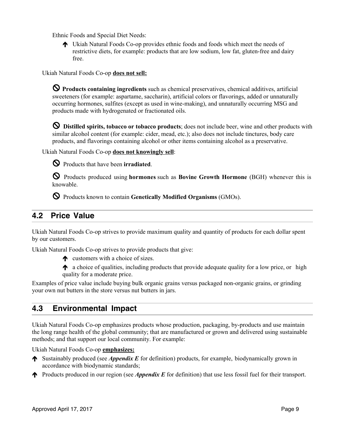Ethnic Foods and Special Diet Needs:

! Ukiah Natural Foods Co-op provides ethnic foods and foods which meet the needs of restrictive diets, for example: products that are low sodium, low fat, gluten-free and dairy free.

Ukiah Natural Foods Co-op **does not sell:**

! **Products containing ingredients** such as chemical preservatives, chemical additives, artificial sweeteners (for example: aspartame, saccharin), artificial colors or flavorings, added or unnaturally occurring hormones, sulfites (except as used in wine-making), and unnaturally occurring MSG and products made with hydrogenated or fractionated oils.

! **Distilled spirits, tobacco or tobacco products**; does not include beer, wine and other products with similar alcohol content (for example: cider, mead, etc.); also does not include tinctures, body care products, and flavorings containing alcohol or other items containing alcohol as a preservative.

Ukiah Natural Foods Co-op **does not knowingly sell**:



! Products that have been **irradiated**.

! Products produced using **hormones** such as **Bovine Growth Hormone** (BGH) whenever this is knowable.

! Products known to contain **Genetically Modified Organisms** (GMOs).

### **4.2 Price Value**

Ukiah Natural Foods Co-op strives to provide maximum quality and quantity of products for each dollar spent by our customers.

Ukiah Natural Foods Co-op strives to provide products that give:

 $\uparrow$  customers with a choice of sizes.

 $\uparrow$  a choice of qualities, including products that provide adequate quality for a low price, or high quality for a moderate price.

Examples of price value include buying bulk organic grains versus packaged non-organic grains, or grinding your own nut butters in the store versus nut butters in jars.

### **4.3 Environmental Impact**

Ukiah Natural Foods Co-op emphasizes products whose production, packaging, by-products and use maintain the long range health of the global community; that are manufactured or grown and delivered using sustainable methods; and that support our local community. For example:

Ukiah Natural Foods Co-op **emphasizes:**

- ! Sustainably produced (see *Appendix E* for definition) products, for example, biodynamically grown in accordance with biodynamic standards;
- **The Products produced in our region (see** *Appendix E* for definition) that use less fossil fuel for their transport.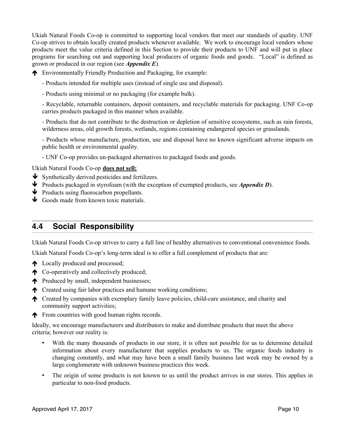Ukiah Natural Foods Co-op is committed to supporting local vendors that meet our standards of quality. UNF Co-op strives to obtain locally created products whenever available. We work to encourage local vendors whose products meet the value criteria defined in this Section to provide their products to UNF and will put in place programs for searching out and supporting local producers of organic foods and goods. "Local" is defined as grown or produced in our region (see *Appendix E*).

! Environmentally Friendly Production and Packaging, for example:

- Products intended for multiple uses (instead of single use and disposal).
- Products using minimal or no packaging (for example bulk).

- Recyclable, returnable containers, deposit containers, and recyclable materials for packaging. UNF Co-op carries products packaged in this manner when available.

- Products that do not contribute to the destruction or depletion of sensitive ecosystems, such as rain forests, wilderness areas, old growth forests, wetlands, regions containing endangered species or grasslands.

- Products whose manufacture, production, use and disposal have no known significant adverse impacts on public health or environmental quality.

- UNF Co-op provides un-packaged alternatives to packaged foods and goods.

Ukiah Natural Foods Co-op **does not sell:**

- $\blacktriangleright$  Synthetically derived pesticides and fertilizers.
- " Products packaged in styrofoam (with the exception of exempted products, see *Appendix D*).
- $\blacklozenge$  Products using fluorocarbon propellants.
- $\bigtriangledown$  Goods made from known toxic materials.

#### **4.4 Social Responsibility**

Ukiah Natural Foods Co-op strives to carry a full line of healthy alternatives to conventional convenience foods.

Ukiah Natural Foods Co-op's long-term ideal is to offer a full complement of products that are:

- ↑ Locally produced and processed;
- **1** Co-operatively and collectively produced;
- reproduced by small, independent businesses;
- $\uparrow$  Created using fair labor practices and humane working conditions;
- ! Created by companies with exemplary family leave policies, child-care assistance, and charity and community support activities;
- **The From countries with good human rights records.**

Ideally, we encourage manufacturers and distributors to make and distribute products that meet the above criteria; however our reality is:

- With the many thousands of products in our store, it is often not possible for us to determine detailed information about every manufacturer that supplies products to us. The organic foods industry is changing constantly, and what may have been a small family business last week may be owned by a large conglomerate with unknown business practices this week.
- The origin of some products is not known to us until the product arrives in our stores. This applies in particular to non-food products.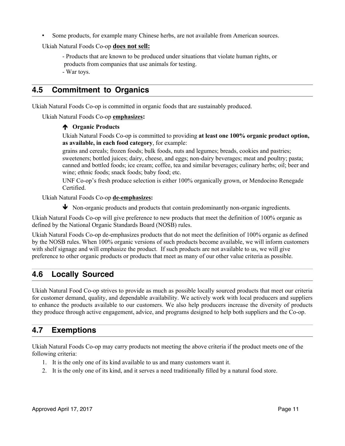• Some products, for example many Chinese herbs, are not available from American sources.

Ukiah Natural Foods Co-op **does not sell:**

- Products that are known to be produced under situations that violate human rights, or products from companies that use animals for testing. - War toys.

#### **4.5 Commitment to Organics**

Ukiah Natural Foods Co-op is committed in organic foods that are sustainably produced.

Ukiah Natural Foods Co-op **emphasizes:**

#### ! **Organic Products**

Ukiah Natural Foods Co-op is committed to providing **at least one 100% organic product option, as available, in each food category**, for example:

grains and cereals; frozen foods; bulk foods, nuts and legumes; breads, cookies and pastries; sweeteners; bottled juices; dairy, cheese, and eggs; non-dairy beverages; meat and poultry; pasta; canned and bottled foods; ice cream; coffee, tea and similar beverages; culinary herbs; oil; beer and wine; ethnic foods; snack foods; baby food; etc.

UNF Co-op's fresh produce selection is either 100% organically grown, or Mendocino Renegade Certified.

Ukiah Natural Foods Co-op **de-emphasizes:**

 $\blacklozenge$  Non-organic products and products that contain predominantly non-organic ingredients.

Ukiah Natural Foods Co-op will give preference to new products that meet the definition of 100% organic as defined by the National Organic Standards Board (NOSB) rules.

Ukiah Natural Foods Co-op de-emphasizes products that do not meet the definition of 100% organic as defined by the NOSB rules. When 100% organic versions of such products become available, we will inform customers with shelf signage and will emphasize the product. If such products are not available to us, we will give preference to other organic products or products that meet as many of our other value criteria as possible.

#### **4.6 Locally Sourced**

Ukiah Natural Food Co-op strives to provide as much as possible locally sourced products that meet our criteria for customer demand, quality, and dependable availability. We actively work with local producers and suppliers to enhance the products available to our customers. We also help producers increase the diversity of products they produce through active engagement, advice, and programs designed to help both suppliers and the Co-op.

#### **4.7 Exemptions**

Ukiah Natural Foods Co-op may carry products not meeting the above criteria if the product meets one of the following criteria:

- 1. It is the only one of its kind available to us and many customers want it.
- 2. It is the only one of its kind, and it serves a need traditionally filled by a natural food store.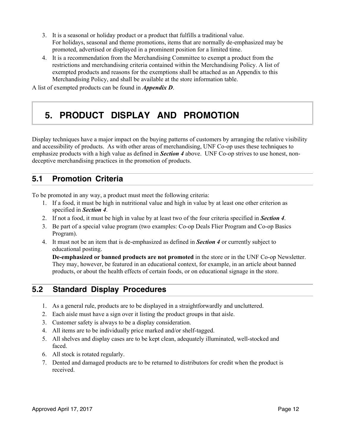- 3. It is a seasonal or holiday product or a product that fulfills a traditional value. For holidays, seasonal and theme promotions, items that are normally de-emphasized may be promoted, advertised or displayed in a prominent position for a limited time.
- 4. It is a recommendation from the Merchandising Committee to exempt a product from the restrictions and merchandising criteria contained within the Merchandising Policy. A list of exempted products and reasons for the exemptions shall be attached as an Appendix to this Merchandising Policy, and shall be available at the store information table.

A list of exempted products can be found in *Appendix D*.

### **5. PRODUCT DISPLAY AND PROMOTION**

Display techniques have a major impact on the buying patterns of customers by arranging the relative visibility and accessibility of products. As with other areas of merchandising, UNF Co-op uses these techniques to emphasize products with a high value as defined in *Section 4* above. UNF Co-op strives to use honest, nondeceptive merchandising practices in the promotion of products.

#### **5.1 Promotion Criteria**

To be promoted in any way, a product must meet the following criteria:

- 1. If a food, it must be high in nutritional value and high in value by at least one other criterion as specified in *Section 4*.
- 2. If not a food, it must be high in value by at least two of the four criteria specified in *Section 4*.
- 3. Be part of a special value program (two examples: Co-op Deals Flier Program and Co-op Basics Program).
- 4. It must not be an item that is de-emphasized as defined in *Section 4* or currently subject to educational posting.

**De-emphasized or banned products are not promoted** in the store or in the UNF Co-op Newsletter. They may, however, be featured in an educational context, for example, in an article about banned products, or about the health effects of certain foods, or on educational signage in the store.

### **5.2 Standard Display Procedures**

- 1. As a general rule, products are to be displayed in a straightforwardly and uncluttered.
- 2. Each aisle must have a sign over it listing the product groups in that aisle.
- 3. Customer safety is always to be a display consideration.
- 4. All items are to be individually price marked and/or shelf-tagged.
- 5. All shelves and display cases are to be kept clean, adequately illuminated, well-stocked and faced.
- 6. All stock is rotated regularly.
- 7. Dented and damaged products are to be returned to distributors for credit when the product is received.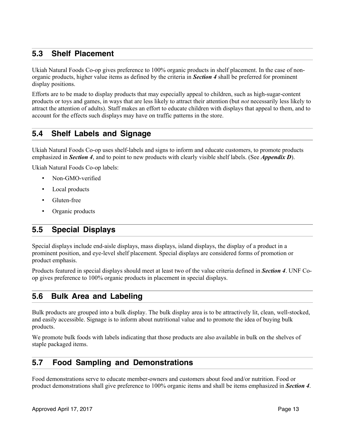#### **5.3 Shelf Placement**

Ukiah Natural Foods Co-op gives preference to 100% organic products in shelf placement. In the case of nonorganic products, higher value items as defined by the criteria in *Section 4* shall be preferred for prominent display positions.

Efforts are to be made to display products that may especially appeal to children, such as high-sugar-content products or toys and games, in ways that are less likely to attract their attention (but *not* necessarily less likely to attract the attention of adults). Staff makes an effort to educate children with displays that appeal to them, and to account for the effects such displays may have on traffic patterns in the store.

#### **5.4 Shelf Labels and Signage**

Ukiah Natural Foods Co-op uses shelf-labels and signs to inform and educate customers, to promote products emphasized in *Section 4*, and to point to new products with clearly visible shelf labels. (See *Appendix D*).

Ukiah Natural Foods Co-op labels:

- Non-GMO-verified
- Local products
- Gluten-free
- Organic products

#### **5.5 Special Displays**

Special displays include end-aisle displays, mass displays, island displays, the display of a product in a prominent position, and eye-level shelf placement. Special displays are considered forms of promotion or product emphasis.

Products featured in special displays should meet at least two of the value criteria defined in *Section 4*. UNF Coop gives preference to 100% organic products in placement in special displays.

#### **5.6 Bulk Area and Labeling**

Bulk products are grouped into a bulk display. The bulk display area is to be attractively lit, clean, well-stocked, and easily accessible. Signage is to inform about nutritional value and to promote the idea of buying bulk products.

We promote bulk foods with labels indicating that those products are also available in bulk on the shelves of staple packaged items.

#### **5.7 Food Sampling and Demonstrations**

Food demonstrations serve to educate member-owners and customers about food and/or nutrition. Food or product demonstrations shall give preference to 100% organic items and shall be items emphasized in *Section 4*.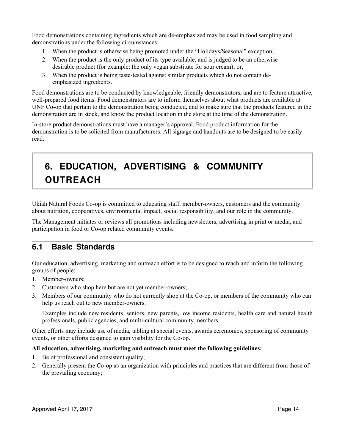Food demonstrations containing ingredients which are de-emphasized may be used in food sampling and demonstrations under the following circumstances:

- 1. When the product is otherwise being promoted under the "Holidays/Seasonal" exception;
- 2. When the product is the only product of its type available, and is judged to be an otherwise desirable product (for example: the only vegan substitute for sour cream); or,
- 3. When the product is being taste-tested against similar products which do not contain deemphasized ingredients.

Food demonstrations are to be conducted by knowledgeable, friendly demonstrators, and are to feature attractive, well-prepared food items. Food demonstrators are to inform themselves about what products are available at UNF Co-op that pertain to the demonstration being conducted, and to make sure that the products featured in the demonstration are in stock, and know the product location in the store at the time of the demonstration.

In-store product demonstrations must have a manager's approval. Food product information for the demonstration is to be solicited from manufacturers. All signage and handouts are to be designed to be easily read.

## **6. EDUCATION, ADVERTISING & COMMUNITY OUTREACH**

Ukiah Natural Foods Co-op is committed to educating staff, member-owners, customers and the community about nutrition, cooperatives, environmental impact, social responsibility, and our role in the community.

The Management initiates or reviews all promotions including newsletters, advertising in print or media, and participation in food or Co-op related community events.

### **6.1 Basic Standards**

Our education, advertising, marketing and outreach effort is to be designed to reach and inform the following groups of people:

- 1. Member-owners;
- 2. Customers who shop here but are not yet member-owners;
- 3. Members of our community who do not currently shop at the Co-op, or members of the community who can help us reach out to new member-owners.

Examples include new residents, seniors, new parents, low income residents, health care and natural health professionals, public agencies, and multi-cultural community members.

Other efforts may include use of media, tabling at special events, awards ceremonies, sponsoring of community events, or other efforts designed to gain visibility for the Co-op.

#### **All education, advertising, marketing and outreach must meet the following guidelines:**

- 1. Be of professional and consistent quality;
- 2. Generally present the Co-op as an organization with principles and practices that are different from those of the prevailing economy;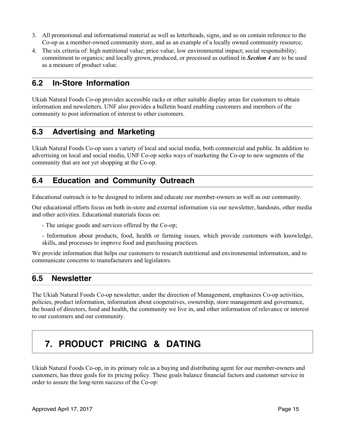- 3. All promotional and informational material as well as letterheads, signs, and so on contain reference to the Co-op as a member-owned community store, and as an example of a locally owned community resource;
- 4. The six criteria of: high nutritional value; price value; low environmental impact; social responsibility; commitment to organics; and locally grown, produced, or processed as outlined in *Section 4* are to be used as a measure of product value.

#### **6.2 In-Store Information**

Ukiah Natural Foods Co-op provides accessible racks or other suitable display areas for customers to obtain information and newsletters. UNF also provides a bulletin board enabling customers and members of the community to post information of interest to other customers.

#### **6.3 Advertising and Marketing**

Ukiah Natural Foods Co-op uses a variety of local and social media, both commercial and public. In addition to advertising on local and social media, UNF Co-op seeks ways of marketing the Co-op to new segments of the community that are not yet shopping at the Co-op.

#### **6.4 Education and Community Outreach**

Educational outreach is to be designed to inform and educate our member-owners as well as our community.

Our educational efforts focus on both in-store and external information via our newsletter, handouts, other media and other activities. Educational materials focus on:

- The unique goods and services offered by the Co-op;
- Information about products, food, health or farming issues, which provide customers with knowledge, skills, and processes to improve food and purchasing practices.

We provide information that helps our customers to research nutritional and environmental information, and to communicate concerns to manufacturers and legislators.

#### **6.5 Newsletter**

The Ukiah Natural Foods Co-op newsletter, under the direction of Management, emphasizes Co-op activities, policies, product information, information about cooperatives, ownership, store management and governance, the board of directors, food and health, the community we live in, and other information of relevance or interest to our customers and our community.

### **7. PRODUCT PRICING & DATING**

Ukiah Natural Foods Co-op, in its primary role as a buying and distributing agent for our member-owners and customers, has three goals for its pricing policy. These goals balance financial factors and customer service in order to assure the long-term success of the Co-op: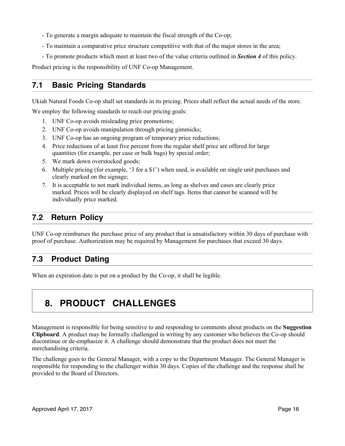- To generate a margin adequate to maintain the fiscal strength of the Co-op;
- To maintain a comparative price structure competitive with that of the major stores in the area;
- To promote products which meet at least two of the value criteria outlined in *Section 4* of this policy.

Product pricing is the responsibility of UNF Co-op Management.

#### **7.1 Basic Pricing Standards**

Ukiah Natural Foods Co-op shall set standards in its pricing. Prices shall reflect the actual needs of the store.

We employ the following standards to reach our pricing goals:

- 1. UNF Co-op avoids misleading price promotions;
- 2. UNF Co-op avoids manipulation through pricing gimmicks;
- 3. UNF Co-op has an ongoing program of temporary price reductions;
- 4. Price reductions of at least five percent from the regular shelf price are offered for large quantities (for example, per case or bulk bags) by special order;
- 5. We mark down overstocked goods;
- 6. Multiple pricing (for example, '3 for a \$1') when used, is available on single unit purchases and clearly marked on the signage;
- 7. It is acceptable to not mark individual items, as long as shelves and cases are clearly price marked. Prices will be clearly displayed on shelf tags. Items that cannot be scanned will be individually price marked.

### **7.2 Return Policy**

UNF Co-op reimburses the purchase price of any product that is unsatisfactory within 30 days of purchase with proof of purchase. Authorization may be required by Management for purchases that exceed 30 days.

### **7.3 Product Dating**

When an expiration date is put on a product by the Co-op, it shall be legible.

### **8. PRODUCT CHALLENGES**

Management is responsible for being sensitive to and responding to comments about products on the **Suggestion Clipboard**. A product may be formally challenged in writing by any customer who believes the Co-op should discontinue or de-emphasize it. A challenge should demonstrate that the product does not meet the merchandising criteria.

The challenge goes to the General Manager, with a copy to the Department Manager. The General Manager is responsible for responding to the challenger within 30 days. Copies of the challenge and the response shall be provided to the Board of Directors.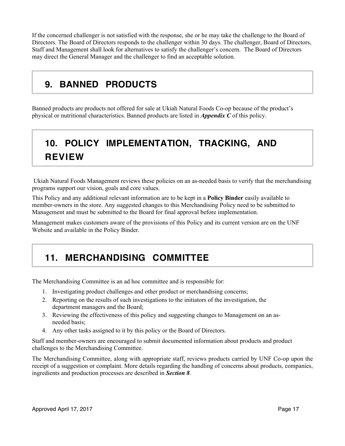If the concerned challenger is not satisfied with the response, she or he may take the challenge to the Board of Directors. The Board of Directors responds to the challenger within 30 days. The challenger, Board of Directors, Staff and Management shall look for alternatives to satisfy the challenger's concern. The Board of Directors may direct the General Manager and the challenger to find an acceptable solution.

### **9. BANNED PRODUCTS**

Banned products are products not offered for sale at Ukiah Natural Foods Co-op because of the product's physical or nutritional characteristics. Banned products are listed in *Appendix C* of this policy.

## **10. POLICY IMPLEMENTATION, TRACKING, AND REVIEW**

 Ukiah Natural Foods Management reviews these policies on an as-needed basis to verify that the merchandising programs support our vision, goals and core values.

This Policy and any additional relevant information are to be kept in a **Policy Binder** easily available to member-owners in the store. Any suggested changes to this Merchandising Policy need to be submitted to Management and must be submitted to the Board for final approval before implementation.

Management makes customers aware of the provisions of this Policy and its current version are on the UNF Website and available in the Policy Binder.

## **11. MERCHANDISING COMMITTEE**

The Merchandising Committee is an ad hoc committee and is responsible for:

- 1. Investigating product challenges and other product or merchandising concerns;
- 2. Reporting on the results of such investigations to the initiators of the investigation, the department managers and the Board;
- 3. Reviewing the effectiveness of this policy and suggesting changes to Management on an asneeded basis;
- 4. Any other tasks assigned to it by this policy or the Board of Directors.

Staff and member-owners are encouraged to submit documented information about products and product challenges to the Merchandising Committee.

The Merchandising Committee, along with appropriate staff, reviews products carried by UNF Co-op upon the receipt of a suggestion or complaint. More details regarding the handling of concerns about products, companies, ingredients and production processes are described in *Section 8*.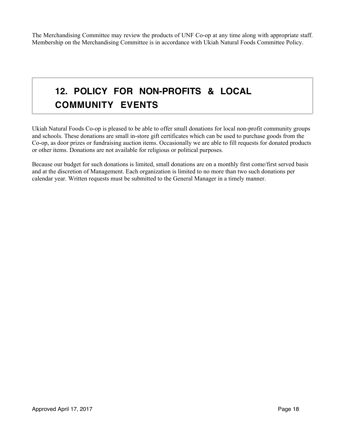The Merchandising Committee may review the products of UNF Co-op at any time along with appropriate staff. Membership on the Merchandising Committee is in accordance with Ukiah Natural Foods Committee Policy.

## **12. POLICY FOR NON-PROFITS & LOCAL COMMUNITY EVENTS**

Ukiah Natural Foods Co-op is pleased to be able to offer small donations for local non-profit community groups and schools. These donations are small in-store gift certificates which can be used to purchase goods from the Co-op, as door prizes or fundraising auction items. Occasionally we are able to fill requests for donated products or other items. Donations are not available for religious or political purposes.

Because our budget for such donations is limited, small donations are on a monthly first come/first served basis and at the discretion of Management. Each organization is limited to no more than two such donations per calendar year. Written requests must be submitted to the General Manager in a timely manner.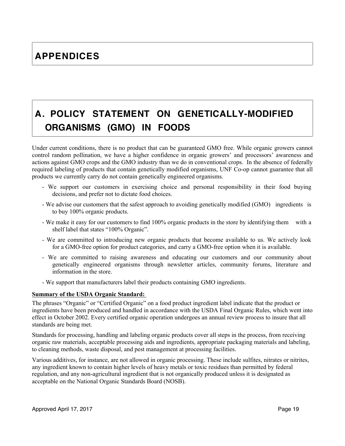## **A. POLICY STATEMENT ON GENETICALLY-MODIFIED ORGANISMS (GMO) IN FOODS**

Under current conditions, there is no product that can be guaranteed GMO free. While organic growers cannot control random pollination, we have a higher confidence in organic growers' and processors' awareness and actions against GMO crops and the GMO industry than we do in conventional crops. In the absence of federally required labeling of products that contain genetically modified organisms, UNF Co-op cannot guarantee that all products we currently carry do not contain genetically engineered organisms.

- We support our customers in exercising choice and personal responsibility in their food buying decisions, and prefer not to dictate food choices.
- We advise our customers that the safest approach to avoiding genetically modified (GMO) ingredients is to buy 100% organic products.
- We make it easy for our customers to find 100% organic products in the store by identifying them with a shelf label that states "100% Organic".
- We are committed to introducing new organic products that become available to us. We actively look for a GMO-free option for product categories, and carry a GMO-free option when it is available.
- We are committed to raising awareness and educating our customers and our community about genetically engineered organisms through newsletter articles, community forums, literature and information in the store.
- We support that manufacturers label their products containing GMO ingredients.

#### **Summary of the USDA Organic Standard:**

The phrases "Organic" or "Certified Organic" on a food product ingredient label indicate that the product or ingredients have been produced and handled in accordance with the USDA Final Organic Rules, which went into effect in October 2002. Every certified organic operation undergoes an annual review process to insure that all standards are being met.

Standards for processing, handling and labeling organic products cover all steps in the process, from receiving organic raw materials, acceptable processing aids and ingredients, appropriate packaging materials and labeling, to cleaning methods, waste disposal, and pest management at processing facilities.

Various additives, for instance, are not allowed in organic processing. These include sulfites, nitrates or nitrites, any ingredient known to contain higher levels of heavy metals or toxic residues than permitted by federal regulation, and any non-agricultural ingredient that is not organically produced unless it is designated as acceptable on the National Organic Standards Board (NOSB).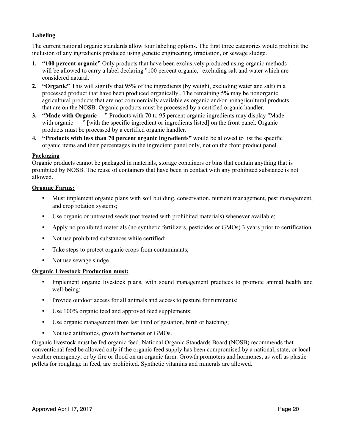#### **Labeling**

The current national organic standards allow four labeling options. The first three categories would prohibit the inclusion of any ingredients produced using genetic engineering, irradiation, or sewage sludge.

- **1. "100 percent organic"** Only products that have been exclusively produced using organic methods will be allowed to carry a label declaring "100 percent organic," excluding salt and water which are considered natural.
- **2. "Organic"** This will signify that 95% of the ingredients (by weight, excluding water and salt) in a processed product that have been produced organically.. The remaining 5% may be nonorganic agricultural products that are not commercially available as organic and/or nonagricultural products that are on the NOSB. Organic products must be processed by a certified organic handler.
- **3. "Made with Organic "** Products with 70 to 95 percent organic ingredients may display "Made with organic <sup>"</sup> [with the specific ingredient or ingredients listed] on the front panel. Organic products must be processed by a certified organic handler.
- **4. "Products with less than 70 percent organic ingredients"** would be allowed to list the specific organic items and their percentages in the ingredient panel only, not on the front product panel.

#### **Packaging**

Organic products cannot be packaged in materials, storage containers or bins that contain anything that is prohibited by NOSB. The reuse of containers that have been in contact with any prohibited substance is not allowed.

#### **Organic Farms:**

- Must implement organic plans with soil building, conservation, nutrient management, pest management, and crop rotation systems;
- Use organic or untreated seeds (not treated with prohibited materials) whenever available;
- Apply no prohibited materials (no synthetic fertilizers, pesticides or GMOs) 3 years prior to certification
- Not use prohibited substances while certified;
- Take steps to protect organic crops from contaminants;
- Not use sewage sludge

#### **Organic Livestock Production must:**

- Implement organic livestock plans, with sound management practices to promote animal health and well-being;
- Provide outdoor access for all animals and access to pasture for ruminants;
- Use 100% organic feed and approved feed supplements;
- Use organic management from last third of gestation, birth or hatching;
- Not use antibiotics, growth hormones or GMOs.

Organic livestock must be fed organic feed. National Organic Standards Board (NOSB) recommends that conventional feed be allowed only if the organic feed supply has been compromised by a national, state, or local weather emergency, or by fire or flood on an organic farm. Growth promoters and hormones, as well as plastic pellets for roughage in feed, are prohibited. Synthetic vitamins and minerals are allowed.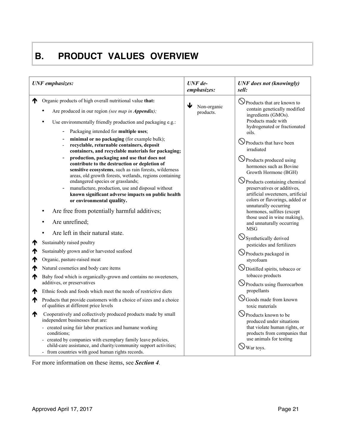### **B. PRODUCT VALUES OVERVIEW**

| <b>UNF</b> emphasizes: |                                                                                                                                                                                                                                                                                                                                                                                                | $UNF$ de-<br>emphasizes:      | <b>UNF</b> does not (knowingly)<br>sell:                                                                                                                                                                                      |
|------------------------|------------------------------------------------------------------------------------------------------------------------------------------------------------------------------------------------------------------------------------------------------------------------------------------------------------------------------------------------------------------------------------------------|-------------------------------|-------------------------------------------------------------------------------------------------------------------------------------------------------------------------------------------------------------------------------|
|                        | Organic products of high overall nutritional value that:                                                                                                                                                                                                                                                                                                                                       |                               | $\bigcirc$ Products that are known to                                                                                                                                                                                         |
|                        | Are produced in our region (see map in Appendix);                                                                                                                                                                                                                                                                                                                                              | ↓<br>Non-organic<br>products. | contain genetically modified<br>ingredients (GMOs).                                                                                                                                                                           |
|                        | Use environmentally friendly production and packaging e.g.:                                                                                                                                                                                                                                                                                                                                    |                               | Products made with<br>hydrogenated or fractionated                                                                                                                                                                            |
|                        | Packaging intended for multiple uses;                                                                                                                                                                                                                                                                                                                                                          |                               | oils.                                                                                                                                                                                                                         |
|                        | minimal or no packaging (for example bulk);<br>recyclable, returnable containers, deposit<br>containers, and recyclable materials for packaging;                                                                                                                                                                                                                                               |                               | <b>S</b> Products that have been<br>irradiated                                                                                                                                                                                |
|                        | production, packaging and use that does not<br>contribute to the destruction or depletion of<br>sensitive ecosystems, such as rain forests, wilderness<br>areas, old growth forests, wetlands, regions containing<br>endangered species or grasslands;<br>manufacture, production, use and disposal without<br>known significant adverse impacts on public health<br>or environmental quality. |                               | O Products produced using<br>hormones such as Bovine<br>Growth Hormone (BGH)<br>$\bigcirc$ Products containing chemical<br>preservatives or additives,<br>artificial sweeteners, artificial<br>colors or flavorings, added or |
|                        | Are free from potentially harmful additives;                                                                                                                                                                                                                                                                                                                                                   |                               | unnaturally occurring<br>hormones, sulfites (except                                                                                                                                                                           |
|                        | Are unrefined;                                                                                                                                                                                                                                                                                                                                                                                 |                               | those used in wine making),<br>and unnaturally occurring<br><b>MSG</b>                                                                                                                                                        |
|                        | Are left in their natural state.                                                                                                                                                                                                                                                                                                                                                               |                               | $\bigcirc$ Synthetically derived                                                                                                                                                                                              |
|                        | Sustainably raised poultry                                                                                                                                                                                                                                                                                                                                                                     |                               | pesticides and fertilizers                                                                                                                                                                                                    |
|                        | Sustainably grown and/or harvested seafood                                                                                                                                                                                                                                                                                                                                                     |                               | O Products packaged in                                                                                                                                                                                                        |
|                        | Organic, pasture-raised meat                                                                                                                                                                                                                                                                                                                                                                   |                               | styrofoam                                                                                                                                                                                                                     |
|                        | Natural cosmetics and body care items                                                                                                                                                                                                                                                                                                                                                          |                               | ODistilled spirits, tobacco or                                                                                                                                                                                                |
| ₼                      | Baby food which is organically-grown and contains no sweeteners,<br>additives, or preservatives                                                                                                                                                                                                                                                                                                |                               | tobacco products<br>○ Products using fluorocarbon                                                                                                                                                                             |
| ₼                      | Ethnic foods and foods which meet the needs of restrictive diets                                                                                                                                                                                                                                                                                                                               |                               | propellants                                                                                                                                                                                                                   |
| ₼                      | Products that provide customers with a choice of sizes and a choice<br>of qualities at different price levels                                                                                                                                                                                                                                                                                  |                               | <b>S</b> Goods made from known<br>toxic materials                                                                                                                                                                             |
| ₼                      | Cooperatively and collectively produced products made by small<br>independent businesses that are:                                                                                                                                                                                                                                                                                             |                               | O Products known to be<br>produced under situations<br>that violate human rights, or<br>products from companies that<br>use animals for testing<br>$\bigcirc$ War toys.                                                       |
|                        | - created using fair labor practices and humane working<br>conditions;<br>created by companies with exemplary family leave policies,<br>child-care assistance, and charity/community support activities;<br>- from countries with good human rights records.                                                                                                                                   |                               |                                                                                                                                                                                                                               |

For more information on these items, see *Section 4.*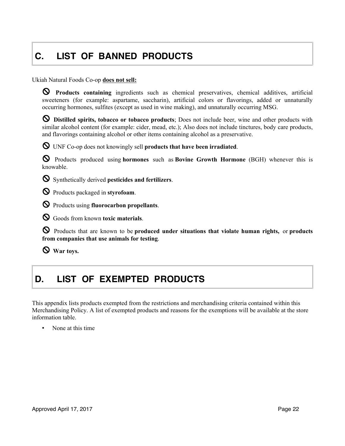## **C. LIST OF BANNED PRODUCTS**

Ukiah Natural Foods Co-op **does not sell:**

! **Products containing** ingredients such as chemical preservatives, chemical additives, artificial sweeteners (for example: aspartame, saccharin), artificial colors or flavorings, added or unnaturally occurring hormones, sulfites (except as used in wine making), and unnaturally occurring MSG.

! **Distilled spirits, tobacco or tobacco products**; Does not include beer, wine and other products with similar alcohol content (for example: cider, mead, etc.); Also does not include tinctures, body care products, and flavorings containing alcohol or other items containing alcohol as a preservative.

! UNF Co-op does not knowingly sell **products that have been irradiated**.

! Products produced using **hormones** such as **Bovine Growth Hormone** (BGH) whenever this is knowable.

! Synthetically derived **pesticides and fertilizers**.

! Products packaged in **styrofoam**.

! Products using **fluorocarbon propellants**.

! Goods from known **toxic materials**.

! Products that are known to be **produced under situations that violate human rights,** or **products from companies that use animals for testing**.

! **War toys.**

### **D. LIST OF EXEMPTED PRODUCTS**

This appendix lists products exempted from the restrictions and merchandising criteria contained within this Merchandising Policy. A list of exempted products and reasons for the exemptions will be available at the store information table.

None at this time